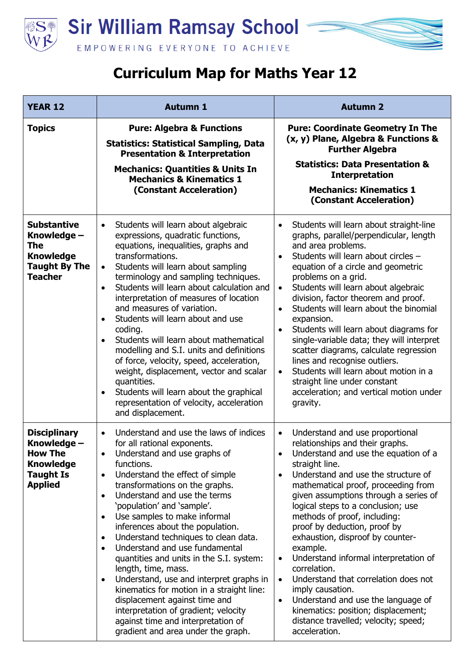



| <b>YEAR 12</b>                                                                                                 | <b>Autumn 1</b>                                                                                                                                                                                                                                                                                                                                                                                                                                                                                                                                                                                                                                                                                                                                                                                                 | <b>Autumn 2</b>                                                                                                                                                                                                                                                                                                                                                                                                                                                                                                                                                                                                                                                                                                          |
|----------------------------------------------------------------------------------------------------------------|-----------------------------------------------------------------------------------------------------------------------------------------------------------------------------------------------------------------------------------------------------------------------------------------------------------------------------------------------------------------------------------------------------------------------------------------------------------------------------------------------------------------------------------------------------------------------------------------------------------------------------------------------------------------------------------------------------------------------------------------------------------------------------------------------------------------|--------------------------------------------------------------------------------------------------------------------------------------------------------------------------------------------------------------------------------------------------------------------------------------------------------------------------------------------------------------------------------------------------------------------------------------------------------------------------------------------------------------------------------------------------------------------------------------------------------------------------------------------------------------------------------------------------------------------------|
| <b>Topics</b>                                                                                                  | <b>Pure: Algebra &amp; Functions</b><br><b>Statistics: Statistical Sampling, Data</b><br><b>Presentation &amp; Interpretation</b><br><b>Mechanics: Quantities &amp; Units In</b><br><b>Mechanics &amp; Kinematics 1</b><br>(Constant Acceleration)                                                                                                                                                                                                                                                                                                                                                                                                                                                                                                                                                              | <b>Pure: Coordinate Geometry In The</b><br>(x, y) Plane, Algebra & Functions &<br><b>Further Algebra</b><br><b>Statistics: Data Presentation &amp;</b><br><b>Interpretation</b><br><b>Mechanics: Kinematics 1</b><br>(Constant Acceleration)                                                                                                                                                                                                                                                                                                                                                                                                                                                                             |
| <b>Substantive</b><br>Knowledge -<br><b>The</b><br><b>Knowledge</b><br><b>Taught By The</b><br><b>Teacher</b>  | Students will learn about algebraic<br>$\bullet$<br>expressions, quadratic functions,<br>equations, inequalities, graphs and<br>transformations.<br>Students will learn about sampling<br>$\bullet$<br>terminology and sampling techniques.<br>Students will learn about calculation and<br>$\bullet$<br>interpretation of measures of location<br>and measures of variation.<br>Students will learn about and use<br>$\bullet$<br>coding.<br>Students will learn about mathematical<br>$\bullet$<br>modelling and S.I. units and definitions<br>of force, velocity, speed, acceleration,<br>weight, displacement, vector and scalar<br>quantities.<br>Students will learn about the graphical<br>$\bullet$<br>representation of velocity, acceleration<br>and displacement.                                    | Students will learn about straight-line<br>$\bullet$<br>graphs, parallel/perpendicular, length<br>and area problems.<br>Students will learn about circles -<br>$\bullet$<br>equation of a circle and geometric<br>problems on a grid.<br>Students will learn about algebraic<br>$\bullet$<br>division, factor theorem and proof.<br>Students will learn about the binomial<br>expansion.<br>Students will learn about diagrams for<br>$\bullet$<br>single-variable data; they will interpret<br>scatter diagrams, calculate regression<br>lines and recognise outliers.<br>Students will learn about motion in a<br>$\bullet$<br>straight line under constant<br>acceleration; and vertical motion under<br>gravity.     |
| <b>Disciplinary</b><br>Knowledge -<br><b>How The</b><br><b>Knowledge</b><br><b>Taught Is</b><br><b>Applied</b> | Understand and use the laws of indices<br>$\bullet$<br>for all rational exponents.<br>Understand and use graphs of<br>functions.<br>Understand the effect of simple<br>$\bullet$<br>transformations on the graphs.<br>Understand and use the terms<br>$\bullet$<br>'population' and 'sample'.<br>Use samples to make informal<br>$\bullet$<br>inferences about the population.<br>Understand techniques to clean data.<br>$\bullet$<br>Understand and use fundamental<br>$\bullet$<br>quantities and units in the S.I. system:<br>length, time, mass.<br>Understand, use and interpret graphs in<br>$\bullet$<br>kinematics for motion in a straight line:<br>displacement against time and<br>interpretation of gradient; velocity<br>against time and interpretation of<br>gradient and area under the graph. | Understand and use proportional<br>$\bullet$<br>relationships and their graphs.<br>Understand and use the equation of a<br>straight line.<br>Understand and use the structure of<br>$\bullet$<br>mathematical proof, proceeding from<br>given assumptions through a series of<br>logical steps to a conclusion; use<br>methods of proof, including:<br>proof by deduction, proof by<br>exhaustion, disproof by counter-<br>example.<br>Understand informal interpretation of<br>$\bullet$<br>correlation.<br>Understand that correlation does not<br>$\bullet$<br>imply causation.<br>Understand and use the language of<br>kinematics: position; displacement;<br>distance travelled; velocity; speed;<br>acceleration. |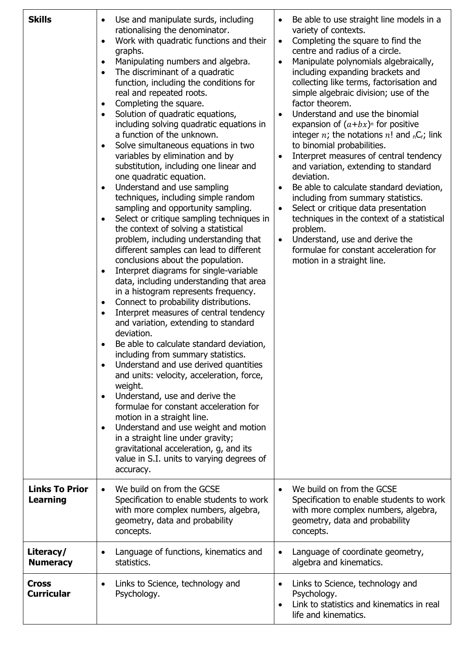| <b>Skills</b>                            | Use and manipulate surds, including<br>rationalising the denominator.<br>Work with quadratic functions and their<br>$\bullet$<br>graphs.<br>Manipulating numbers and algebra.<br>$\bullet$<br>The discriminant of a quadratic<br>$\bullet$<br>function, including the conditions for<br>real and repeated roots.<br>Completing the square.<br>$\bullet$<br>Solution of quadratic equations,<br>$\bullet$<br>including solving quadratic equations in<br>a function of the unknown.<br>Solve simultaneous equations in two<br>$\bullet$<br>variables by elimination and by<br>substitution, including one linear and<br>one quadratic equation.<br>Understand and use sampling<br>$\bullet$<br>techniques, including simple random<br>sampling and opportunity sampling.<br>Select or critique sampling techniques in<br>the context of solving a statistical<br>problem, including understanding that<br>different samples can lead to different<br>conclusions about the population.<br>Interpret diagrams for single-variable<br>$\bullet$<br>data, including understanding that area<br>in a histogram represents frequency.<br>Connect to probability distributions.<br>$\bullet$<br>Interpret measures of central tendency<br>and variation, extending to standard<br>deviation.<br>Be able to calculate standard deviation,<br>including from summary statistics.<br>Understand and use derived quantities<br>and units: velocity, acceleration, force,<br>weight.<br>Understand, use and derive the<br>$\bullet$<br>formulae for constant acceleration for<br>motion in a straight line.<br>Understand and use weight and motion<br>$\bullet$<br>in a straight line under gravity;<br>gravitational acceleration, g, and its<br>value in S.I. units to varying degrees of | Be able to use straight line models in a<br>variety of contexts.<br>Completing the square to find the<br>$\bullet$<br>centre and radius of a circle.<br>Manipulate polynomials algebraically,<br>$\bullet$<br>including expanding brackets and<br>collecting like terms, factorisation and<br>simple algebraic division; use of the<br>factor theorem.<br>Understand and use the binomial<br>expansion of $(a+bx)^n$ for positive<br>integer n; the notations $n!$ and <sub>n</sub> C <sub>r</sub> ; link<br>to binomial probabilities.<br>Interpret measures of central tendency<br>and variation, extending to standard<br>deviation.<br>Be able to calculate standard deviation,<br>including from summary statistics.<br>Select or critique data presentation<br>techniques in the context of a statistical<br>problem.<br>Understand, use and derive the<br>formulae for constant acceleration for<br>motion in a straight line. |
|------------------------------------------|----------------------------------------------------------------------------------------------------------------------------------------------------------------------------------------------------------------------------------------------------------------------------------------------------------------------------------------------------------------------------------------------------------------------------------------------------------------------------------------------------------------------------------------------------------------------------------------------------------------------------------------------------------------------------------------------------------------------------------------------------------------------------------------------------------------------------------------------------------------------------------------------------------------------------------------------------------------------------------------------------------------------------------------------------------------------------------------------------------------------------------------------------------------------------------------------------------------------------------------------------------------------------------------------------------------------------------------------------------------------------------------------------------------------------------------------------------------------------------------------------------------------------------------------------------------------------------------------------------------------------------------------------------------------------------------------------------------------------------------------------------------------------------|---------------------------------------------------------------------------------------------------------------------------------------------------------------------------------------------------------------------------------------------------------------------------------------------------------------------------------------------------------------------------------------------------------------------------------------------------------------------------------------------------------------------------------------------------------------------------------------------------------------------------------------------------------------------------------------------------------------------------------------------------------------------------------------------------------------------------------------------------------------------------------------------------------------------------------------|
|                                          | accuracy.                                                                                                                                                                                                                                                                                                                                                                                                                                                                                                                                                                                                                                                                                                                                                                                                                                                                                                                                                                                                                                                                                                                                                                                                                                                                                                                                                                                                                                                                                                                                                                                                                                                                                                                                                                        |                                                                                                                                                                                                                                                                                                                                                                                                                                                                                                                                                                                                                                                                                                                                                                                                                                                                                                                                       |
| <b>Links To Prior</b><br><b>Learning</b> | We build on from the GCSE<br>$\bullet$<br>Specification to enable students to work<br>with more complex numbers, algebra,<br>geometry, data and probability<br>concepts.                                                                                                                                                                                                                                                                                                                                                                                                                                                                                                                                                                                                                                                                                                                                                                                                                                                                                                                                                                                                                                                                                                                                                                                                                                                                                                                                                                                                                                                                                                                                                                                                         | We build on from the GCSE<br>Specification to enable students to work<br>with more complex numbers, algebra,<br>geometry, data and probability<br>concepts.                                                                                                                                                                                                                                                                                                                                                                                                                                                                                                                                                                                                                                                                                                                                                                           |
| Literacy/<br><b>Numeracy</b>             | Language of functions, kinematics and<br>$\bullet$<br>statistics.                                                                                                                                                                                                                                                                                                                                                                                                                                                                                                                                                                                                                                                                                                                                                                                                                                                                                                                                                                                                                                                                                                                                                                                                                                                                                                                                                                                                                                                                                                                                                                                                                                                                                                                | Language of coordinate geometry,<br>$\bullet$<br>algebra and kinematics.                                                                                                                                                                                                                                                                                                                                                                                                                                                                                                                                                                                                                                                                                                                                                                                                                                                              |
| <b>Cross</b><br><b>Curricular</b>        | Links to Science, technology and<br>Psychology.                                                                                                                                                                                                                                                                                                                                                                                                                                                                                                                                                                                                                                                                                                                                                                                                                                                                                                                                                                                                                                                                                                                                                                                                                                                                                                                                                                                                                                                                                                                                                                                                                                                                                                                                  | Links to Science, technology and<br>Psychology.<br>Link to statistics and kinematics in real<br>$\bullet$<br>life and kinematics.                                                                                                                                                                                                                                                                                                                                                                                                                                                                                                                                                                                                                                                                                                                                                                                                     |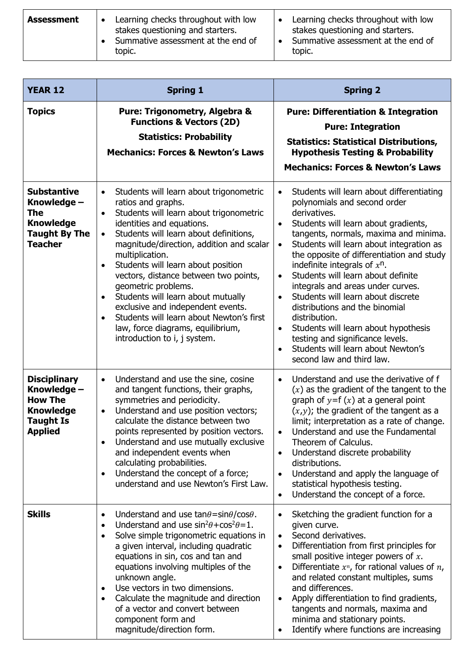| <b>Assessment</b> | Learning checks throughout with low<br>stakes questioning and starters.<br>Summative assessment at the end of<br>topic. | Learning checks throughout with low<br>stakes questioning and starters.<br>Summative assessment at the end of<br>topic. |
|-------------------|-------------------------------------------------------------------------------------------------------------------------|-------------------------------------------------------------------------------------------------------------------------|
|                   |                                                                                                                         |                                                                                                                         |

| <b>YEAR 12</b>                                                                                                 | <b>Spring 1</b>                                                                                                                                                                                                                                                                                                                                                                                                                                                                                                                                                                                                                | <b>Spring 2</b>                                                                                                                                                                                                                                                                                                                                                                                                                                                                                                                                                                                                                                                                            |
|----------------------------------------------------------------------------------------------------------------|--------------------------------------------------------------------------------------------------------------------------------------------------------------------------------------------------------------------------------------------------------------------------------------------------------------------------------------------------------------------------------------------------------------------------------------------------------------------------------------------------------------------------------------------------------------------------------------------------------------------------------|--------------------------------------------------------------------------------------------------------------------------------------------------------------------------------------------------------------------------------------------------------------------------------------------------------------------------------------------------------------------------------------------------------------------------------------------------------------------------------------------------------------------------------------------------------------------------------------------------------------------------------------------------------------------------------------------|
| <b>Topics</b>                                                                                                  | Pure: Trigonometry, Algebra &<br><b>Functions &amp; Vectors (2D)</b><br><b>Statistics: Probability</b><br><b>Mechanics: Forces &amp; Newton's Laws</b>                                                                                                                                                                                                                                                                                                                                                                                                                                                                         | <b>Pure: Differentiation &amp; Integration</b><br><b>Pure: Integration</b><br><b>Statistics: Statistical Distributions,</b><br><b>Hypothesis Testing &amp; Probability</b><br><b>Mechanics: Forces &amp; Newton's Laws</b>                                                                                                                                                                                                                                                                                                                                                                                                                                                                 |
| <b>Substantive</b><br>Knowledge -<br><b>The</b><br><b>Knowledge</b><br><b>Taught By The</b><br><b>Teacher</b>  | Students will learn about trigonometric<br>$\bullet$<br>ratios and graphs.<br>Students will learn about trigonometric<br>$\bullet$<br>identities and equations.<br>Students will learn about definitions,<br>$\bullet$<br>magnitude/direction, addition and scalar<br>multiplication.<br>Students will learn about position<br>$\bullet$<br>vectors, distance between two points,<br>geometric problems.<br>Students will learn about mutually<br>$\bullet$<br>exclusive and independent events.<br>Students will learn about Newton's first<br>$\bullet$<br>law, force diagrams, equilibrium,<br>introduction to i, j system. | Students will learn about differentiating<br>$\bullet$<br>polynomials and second order<br>derivatives.<br>Students will learn about gradients,<br>$\bullet$<br>tangents, normals, maxima and minima.<br>Students will learn about integration as<br>$\bullet$<br>the opposite of differentiation and study<br>indefinite integrals of $x^n$ .<br>Students will learn about definite<br>$\bullet$<br>integrals and areas under curves.<br>Students will learn about discrete<br>distributions and the binomial<br>distribution.<br>Students will learn about hypothesis<br>$\bullet$<br>testing and significance levels.<br>Students will learn about Newton's<br>second law and third law. |
| <b>Disciplinary</b><br>Knowledge -<br><b>How The</b><br><b>Knowledge</b><br><b>Taught Is</b><br><b>Applied</b> | Understand and use the sine, cosine<br>$\bullet$<br>and tangent functions, their graphs,<br>symmetries and periodicity.<br>Understand and use position vectors;<br>$\bullet$<br>calculate the distance between two<br>points represented by position vectors.<br>Understand and use mutually exclusive<br>and independent events when<br>calculating probabilities.<br>Understand the concept of a force;<br>$\bullet$<br>understand and use Newton's First Law.                                                                                                                                                               | Understand and use the derivative of f<br>$\bullet$<br>$(x)$ as the gradient of the tangent to the<br>graph of $y=f(x)$ at a general point<br>$(x,y)$ ; the gradient of the tangent as a<br>limit; interpretation as a rate of change.<br>Understand and use the Fundamental<br>$\bullet$<br>Theorem of Calculus.<br>Understand discrete probability<br>distributions.<br>Understand and apply the language of<br>$\bullet$<br>statistical hypothesis testing.<br>Understand the concept of a force.<br>$\bullet$                                                                                                                                                                          |
| <b>Skills</b>                                                                                                  | Understand and use $tan\theta = sin\theta / cos\theta$ .<br>$\bullet$<br>Understand and use $\sin^2\theta + \cos^2\theta = 1$ .<br>$\bullet$<br>Solve simple trigonometric equations in<br>$\bullet$<br>a given interval, including quadratic<br>equations in sin, cos and tan and<br>equations involving multiples of the<br>unknown angle.<br>Use vectors in two dimensions.<br>$\bullet$<br>Calculate the magnitude and direction<br>$\bullet$<br>of a vector and convert between<br>component form and<br>magnitude/direction form.                                                                                        | Sketching the gradient function for a<br>given curve.<br>Second derivatives.<br>$\bullet$<br>Differentiation from first principles for<br>$\bullet$<br>small positive integer powers of $x$ .<br>Differentiate $x^n$ , for rational values of $n$ ,<br>$\bullet$<br>and related constant multiples, sums<br>and differences.<br>Apply differentiation to find gradients,<br>tangents and normals, maxima and<br>minima and stationary points.<br>Identify where functions are increasing                                                                                                                                                                                                   |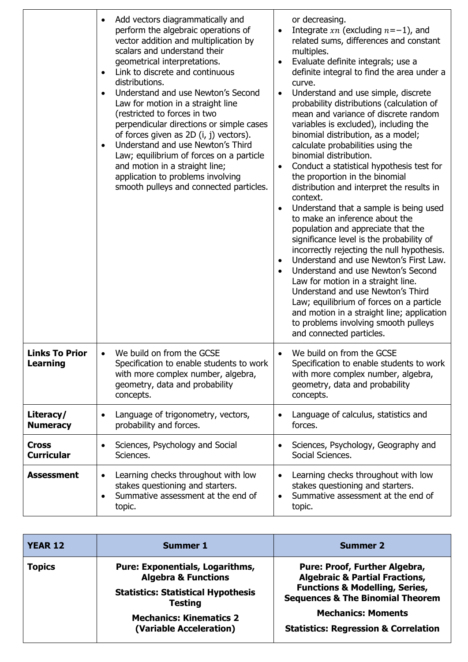|                                          | Add vectors diagrammatically and<br>$\bullet$<br>perform the algebraic operations of<br>vector addition and multiplication by<br>scalars and understand their<br>geometrical interpretations.<br>Link to discrete and continuous<br>distributions.<br>Understand and use Newton's Second<br>$\bullet$<br>Law for motion in a straight line<br>(restricted to forces in two<br>perpendicular directions or simple cases<br>of forces given as $2D(i, j)$ vectors).<br>Understand and use Newton's Third<br>$\bullet$<br>Law; equilibrium of forces on a particle<br>and motion in a straight line;<br>application to problems involving<br>smooth pulleys and connected particles. | or decreasing.<br>Integrate $xn$ (excluding $n=-1$ ), and<br>related sums, differences and constant<br>multiples.<br>Evaluate definite integrals; use a<br>definite integral to find the area under a<br>curve.<br>Understand and use simple, discrete<br>probability distributions (calculation of<br>mean and variance of discrete random<br>variables is excluded), including the<br>binomial distribution, as a model;<br>calculate probabilities using the<br>binomial distribution.<br>Conduct a statistical hypothesis test for<br>the proportion in the binomial<br>distribution and interpret the results in<br>context.<br>Understand that a sample is being used<br>to make an inference about the<br>population and appreciate that the<br>significance level is the probability of<br>incorrectly rejecting the null hypothesis.<br>Understand and use Newton's First Law.<br>Understand and use Newton's Second<br>Law for motion in a straight line.<br>Understand and use Newton's Third<br>Law; equilibrium of forces on a particle<br>and motion in a straight line; application<br>to problems involving smooth pulleys<br>and connected particles. |
|------------------------------------------|-----------------------------------------------------------------------------------------------------------------------------------------------------------------------------------------------------------------------------------------------------------------------------------------------------------------------------------------------------------------------------------------------------------------------------------------------------------------------------------------------------------------------------------------------------------------------------------------------------------------------------------------------------------------------------------|------------------------------------------------------------------------------------------------------------------------------------------------------------------------------------------------------------------------------------------------------------------------------------------------------------------------------------------------------------------------------------------------------------------------------------------------------------------------------------------------------------------------------------------------------------------------------------------------------------------------------------------------------------------------------------------------------------------------------------------------------------------------------------------------------------------------------------------------------------------------------------------------------------------------------------------------------------------------------------------------------------------------------------------------------------------------------------------------------------------------------------------------------------------------|
| <b>Links To Prior</b><br><b>Learning</b> | We build on from the GCSE<br>$\bullet$<br>Specification to enable students to work<br>with more complex number, algebra,<br>geometry, data and probability<br>concepts.                                                                                                                                                                                                                                                                                                                                                                                                                                                                                                           | We build on from the GCSE<br>$\bullet$<br>Specification to enable students to work<br>with more complex number, algebra,<br>geometry, data and probability<br>concepts.                                                                                                                                                                                                                                                                                                                                                                                                                                                                                                                                                                                                                                                                                                                                                                                                                                                                                                                                                                                                |
| Literacy/<br><b>Numeracy</b>             | Language of trigonometry, vectors,<br>$\bullet$<br>probability and forces.                                                                                                                                                                                                                                                                                                                                                                                                                                                                                                                                                                                                        | Language of calculus, statistics and<br>$\bullet$<br>forces.                                                                                                                                                                                                                                                                                                                                                                                                                                                                                                                                                                                                                                                                                                                                                                                                                                                                                                                                                                                                                                                                                                           |
| <b>Cross</b><br><b>Curricular</b>        | Sciences, Psychology and Social<br>Sciences.                                                                                                                                                                                                                                                                                                                                                                                                                                                                                                                                                                                                                                      | Sciences, Psychology, Geography and<br>$\bullet$<br>Social Sciences.                                                                                                                                                                                                                                                                                                                                                                                                                                                                                                                                                                                                                                                                                                                                                                                                                                                                                                                                                                                                                                                                                                   |
| <b>Assessment</b>                        | Learning checks throughout with low<br>$\bullet$<br>stakes questioning and starters.<br>Summative assessment at the end of<br>$\bullet$<br>topic.                                                                                                                                                                                                                                                                                                                                                                                                                                                                                                                                 | Learning checks throughout with low<br>stakes questioning and starters.<br>Summative assessment at the end of<br>topic.                                                                                                                                                                                                                                                                                                                                                                                                                                                                                                                                                                                                                                                                                                                                                                                                                                                                                                                                                                                                                                                |

| <b>YEAR 12</b> | Summer 1                                                                                                                                                                                             | Summer 2                                                                                                                                                                                                                                                      |
|----------------|------------------------------------------------------------------------------------------------------------------------------------------------------------------------------------------------------|---------------------------------------------------------------------------------------------------------------------------------------------------------------------------------------------------------------------------------------------------------------|
| <b>Topics</b>  | <b>Pure: Exponentials, Logarithms,</b><br><b>Algebra &amp; Functions</b><br><b>Statistics: Statistical Hypothesis</b><br><b>Testing</b><br><b>Mechanics: Kinematics 2</b><br>(Variable Acceleration) | <b>Pure: Proof, Further Algebra,</b><br><b>Algebraic &amp; Partial Fractions,</b><br><b>Functions &amp; Modelling, Series,</b><br><b>Sequences &amp; The Binomial Theorem</b><br><b>Mechanics: Moments</b><br><b>Statistics: Regression &amp; Correlation</b> |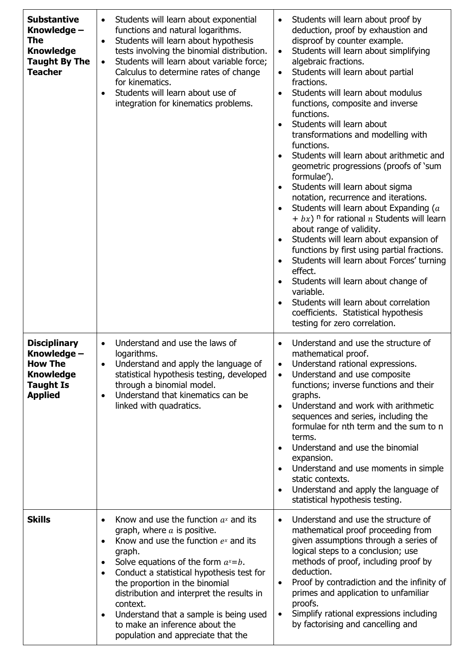| <b>Substantive</b><br>Knowledge -<br><b>The</b><br><b>Knowledge</b><br><b>Taught By The</b><br><b>Teacher</b>  | Students will learn about exponential<br>$\bullet$<br>functions and natural logarithms.<br>Students will learn about hypothesis<br>$\bullet$<br>tests involving the binomial distribution.<br>Students will learn about variable force;<br>$\bullet$<br>Calculus to determine rates of change<br>for kinematics.<br>Students will learn about use of<br>$\bullet$<br>integration for kinematics problems.                                                                                           | Students will learn about proof by<br>$\bullet$<br>deduction, proof by exhaustion and<br>disproof by counter example.<br>Students will learn about simplifying<br>algebraic fractions.<br>Students will learn about partial<br>$\bullet$<br>fractions.<br>Students will learn about modulus<br>functions, composite and inverse<br>functions.<br>Students will learn about<br>$\bullet$<br>transformations and modelling with<br>functions.<br>Students will learn about arithmetic and<br>geometric progressions (proofs of 'sum<br>formulae').<br>Students will learn about sigma<br>notation, recurrence and iterations.<br>Students will learn about Expanding (a<br>$\bullet$<br>$+ bx$ ) <sup>n</sup> for rational <i>n</i> Students will learn<br>about range of validity.<br>Students will learn about expansion of<br>functions by first using partial fractions.<br>Students will learn about Forces' turning<br>$\bullet$<br>effect.<br>Students will learn about change of<br>variable.<br>Students will learn about correlation<br>$\bullet$<br>coefficients. Statistical hypothesis<br>testing for zero correlation. |
|----------------------------------------------------------------------------------------------------------------|-----------------------------------------------------------------------------------------------------------------------------------------------------------------------------------------------------------------------------------------------------------------------------------------------------------------------------------------------------------------------------------------------------------------------------------------------------------------------------------------------------|------------------------------------------------------------------------------------------------------------------------------------------------------------------------------------------------------------------------------------------------------------------------------------------------------------------------------------------------------------------------------------------------------------------------------------------------------------------------------------------------------------------------------------------------------------------------------------------------------------------------------------------------------------------------------------------------------------------------------------------------------------------------------------------------------------------------------------------------------------------------------------------------------------------------------------------------------------------------------------------------------------------------------------------------------------------------------------------------------------------------------------|
| <b>Disciplinary</b><br>Knowledge -<br><b>How The</b><br><b>Knowledge</b><br><b>Taught Is</b><br><b>Applied</b> | Understand and use the laws of<br>logarithms.<br>Understand and apply the language of<br>$\bullet$<br>statistical hypothesis testing, developed<br>through a binomial model.<br>Understand that kinematics can be<br>$\bullet$<br>linked with quadratics.                                                                                                                                                                                                                                           | Understand and use the structure of<br>mathematical proof.<br>Understand rational expressions.<br>$\bullet$<br>Understand and use composite<br>$\bullet$<br>functions; inverse functions and their<br>graphs.<br>Understand and work with arithmetic<br>$\bullet$<br>sequences and series, including the<br>formulae for nth term and the sum to n<br>terms.<br>Understand and use the binomial<br>$\bullet$<br>expansion.<br>Understand and use moments in simple<br>$\bullet$<br>static contexts.<br>Understand and apply the language of<br>statistical hypothesis testing.                                                                                                                                                                                                                                                                                                                                                                                                                                                                                                                                                     |
| <b>Skills</b>                                                                                                  | Know and use the function $a^x$ and its<br>$\bullet$<br>graph, where $a$ is positive.<br>Know and use the function $e^x$ and its<br>$\bullet$<br>graph.<br>Solve equations of the form $a^x = b$ .<br>$\bullet$<br>Conduct a statistical hypothesis test for<br>$\bullet$<br>the proportion in the binomial<br>distribution and interpret the results in<br>context.<br>Understand that a sample is being used<br>$\bullet$<br>to make an inference about the<br>population and appreciate that the | Understand and use the structure of<br>$\bullet$<br>mathematical proof proceeding from<br>given assumptions through a series of<br>logical steps to a conclusion; use<br>methods of proof, including proof by<br>deduction.<br>Proof by contradiction and the infinity of<br>$\bullet$<br>primes and application to unfamiliar<br>proofs.<br>Simplify rational expressions including<br>$\bullet$<br>by factorising and cancelling and                                                                                                                                                                                                                                                                                                                                                                                                                                                                                                                                                                                                                                                                                             |